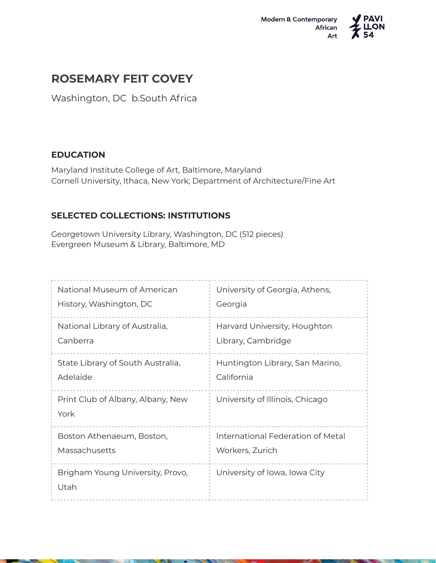



## **ROSEMARY FEIT COVEY**

Washington, DC b.South Africa

## **EDUCATION**

Maryland Institute College of Art, Baltimore, Maryland Cornell University, Ithaca, New York; Department of Architecture/Fine Art

## **SELECTED COLLECTIONS: INSTITUTIONS**

Georgetown University Library, Washington, DC (512 pieces) Evergreen Museum & Library, Baltimore, MD

| National Museum of American               | University of Georgia, Athens,    |
|-------------------------------------------|-----------------------------------|
| History, Washington, DC                   | Georgia                           |
| National Library of Australia,            | Harvard University, Houghton      |
| Canberra                                  | Library, Cambridge                |
| State Library of South Australia,         | Huntington Library, San Marino,   |
| Adelaide                                  | California                        |
| Print Club of Albany, Albany, New<br>York | University of Illinois, Chicago   |
| Boston Athenaeum, Boston,                 | International Federation of Metal |
| Massachusetts                             | Workers, Zurich                   |
| Brigham Young University, Provo,<br>Utah  | University of Iowa, Iowa City     |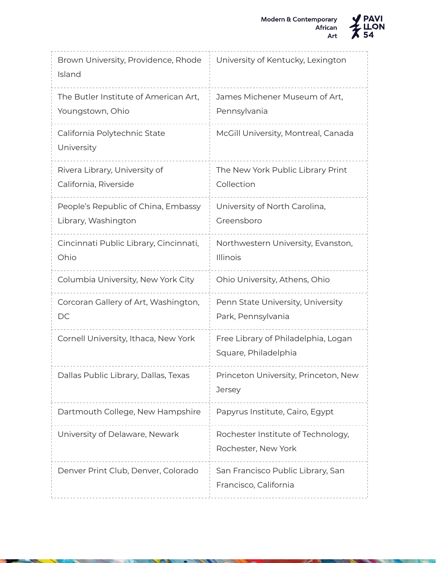

Brown University, Providence, Rhode Island University of Kentucky, Lexington The Butler Institute of American Art, Youngstown, Ohio James Michener Museum of Art, Pennsylvania California Polytechnic State University McGill University, Montreal, Canada Rivera Library, University of California, Riverside The New York Public Library Print Collection People's Republic of China, Embassy Library, Washington University of North Carolina, Greensboro Cincinnati Public Library, Cincinnati, Ohio Northwestern University, Evanston, Illinois Columbia University, New York City | Ohio University, Athens, Ohio Corcoran Gallery of Art, Washington, DC Penn State University, University Park, Pennsylvania Cornell University, Ithaca, New York Free Library of Philadelphia, Logan Square, Philadelphia Dallas Public Library, Dallas, Texas Princeton University, Princeton, New **Jersey** Dartmouth College, New Hampshire | Papyrus Institute, Cairo, Egypt University of Delaware, Newark Rochester Institute of Technology, Rochester, New York Denver Print Club, Denver, Colorado | San Francisco Public Library, San Francisco, California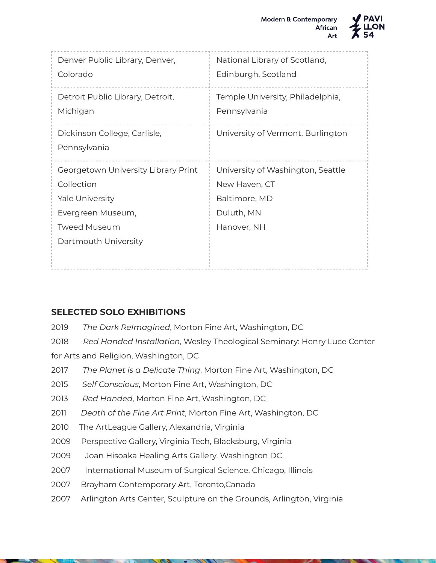

| National Library of Scotland,<br>Edinburgh, Scotland                                             |
|--------------------------------------------------------------------------------------------------|
| Temple University, Philadelphia,<br>Pennsylvania                                                 |
| University of Vermont, Burlington                                                                |
| University of Washington, Seattle<br>New Haven, CT<br>Baltimore, MD<br>Duluth, MN<br>Hanover, NH |
|                                                                                                  |

## **SELECTED SOLO EXHIBITIONS**

- 2019 *The Dark ReImagined*, Morton Fine Art, Washington, DC
- 2018 *Red Handed Installation*, Wesley Theological Seminary: Henry Luce Center for Arts and Religion, Washington, DC
- 2017 *The Planet is a Delicate Thing*, Morton Fine Art, Washington, DC
- 2015 *Self Conscious*, Morton Fine Art, Washington, DC
- 2013 *Red Handed*, Morton Fine Art, Washington, DC
- 2011 *Death of the Fine Art Print*, Morton Fine Art, Washington, DC
- 2010 The ArtLeague Gallery, Alexandria, Virginia
- 2009 Perspective Gallery, Virginia Tech, Blacksburg, Virginia
- 2009 Joan Hisoaka Healing Arts Gallery. Washington DC.
- 2007 International Museum of Surgical Science, Chicago, Illinois
- 2007 Brayham Contemporary Art, Toronto,Canada
- 2007 Arlington Arts Center, Sculpture on the Grounds, Arlington, Virginia